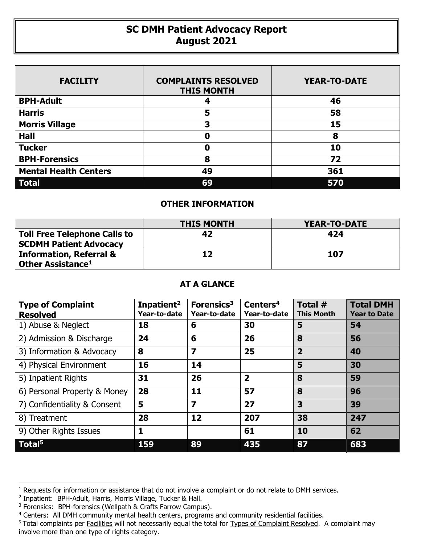## **SC DMH Patient Advocacy Report August 2021**

| <b>FACILITY</b>              | <b>COMPLAINTS RESOLVED</b><br><b>THIS MONTH</b> | <b>YEAR-TO-DATE</b> |
|------------------------------|-------------------------------------------------|---------------------|
| <b>BPH-Adult</b>             | 4                                               | 46                  |
| <b>Harris</b>                | 5                                               | 58                  |
| <b>Morris Village</b>        | 3                                               | 15                  |
| <b>Hall</b>                  | Ω                                               | 8                   |
| <b>Tucker</b>                | Ω                                               | 10                  |
| <b>BPH-Forensics</b>         | 8                                               | 72                  |
| <b>Mental Health Centers</b> | 49                                              | 361                 |
| <b>Total</b>                 | 69                                              | 570                 |

## **OTHER INFORMATION**

|                                                                      | <b>THIS MONTH</b> | <b>YEAR-TO-DATE</b> |
|----------------------------------------------------------------------|-------------------|---------------------|
| <b>Toll Free Telephone Calls to</b><br><b>SCDMH Patient Advocacy</b> | 42                | 424                 |
| <b>Information, Referral &amp;</b><br>Other Assistance <sup>1</sup>  | 12                | 107                 |

## **AT A GLANCE**

| <b>Type of Complaint</b><br><b>Resolved</b> | Inpatient <sup>2</sup><br>Year-to-date | Forensics <sup>3</sup><br>Year-to-date | Centers <sup>4</sup><br>Year-to-date | Total #<br><b>This Month</b> | <b>Total DMH</b><br><b>Year to Date</b> |
|---------------------------------------------|----------------------------------------|----------------------------------------|--------------------------------------|------------------------------|-----------------------------------------|
| 1) Abuse & Neglect                          | 18                                     | 6                                      | 30                                   | 5                            | 54                                      |
| 2) Admission & Discharge                    | 24                                     | 6                                      | 26                                   | 8                            | 56                                      |
| 3) Information & Advocacy                   | 8                                      | $\overline{\mathbf{z}}$                | 25                                   | $\overline{2}$               | 40                                      |
| 4) Physical Environment                     | 16                                     | 14                                     |                                      | 5                            | 30                                      |
| 5) Inpatient Rights                         | 31                                     | 26                                     | $\overline{\mathbf{2}}$              | 8                            | 59                                      |
| 6) Personal Property & Money                | 28                                     | 11                                     | 57                                   | 8                            | 96                                      |
| 7) Confidentiality & Consent                | 5                                      | $\overline{\mathbf{z}}$                | 27                                   | 3                            | 39                                      |
| 8) Treatment                                | 28                                     | 12                                     | 207                                  | 38                           | 247                                     |
| 9) Other Rights Issues                      | 1                                      |                                        | 61                                   | 10                           | 62                                      |
| Total <sup>5</sup>                          | 159                                    | 89                                     | 435                                  | 87                           | 683                                     |

 $\overline{a}$ 

<sup>&</sup>lt;sup>1</sup> Requests for information or assistance that do not involve a complaint or do not relate to DMH services.

<sup>2</sup> Inpatient: BPH-Adult, Harris, Morris Village, Tucker & Hall.

<sup>&</sup>lt;sup>3</sup> Forensics: BPH-forensics (Wellpath & Crafts Farrow Campus).

<sup>&</sup>lt;sup>4</sup> Centers: All DMH community mental health centers, programs and community residential facilities.

<sup>&</sup>lt;sup>5</sup> Total complaints per **Facilities** will not necessarily equal the total for Types of Complaint Resolved. A complaint may involve more than one type of rights category.